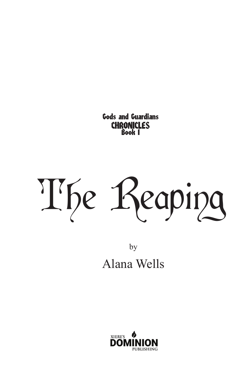Gods and Guardians CHRONICLES Book 1

The Reaping

by Alana Wells

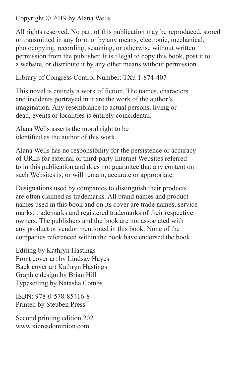Copyright © 2019 by Alana Wells

All rights reserved. No part of this publication may be reproduced, stored or transmitted in any form or by any means, electronic, mechanical, photocopying, recording, scanning, or otherwise without written permission from the publisher. It is illegal to copy this book, post it to a website, or distribute it by any other means without permission.

Library of Congress Control Number: TXu 1-874-407

This novel is entirely a work of fiction. The names, characters and incidents portrayed in it are the work of the author's imagination. Any resemblance to actual persons, living or dead, events or localities is entirely coincidental.

Alana Wells asserts the moral right to be identified as the author of this work.

Alana Wells has no responsibility for the persistence or accuracy of URLs for external or third-party Internet Websites referred to in this publication and does not guarantee that any content on such Websites is, or will remain, accurate or appropriate.

Designations used by companies to distinguish their products are often claimed as trademarks. All brand names and product names used in this book and on its cover are trade names, service marks, trademarks and registered trademarks of their respective owners. The publishers and the book are not associated with any product or vendor mentioned in this book. None of the companies referenced within the book have endorsed the book.

Editing by Kathryn Hastings Front cover art by Lindsay Hayes Back cover art Kathryn Hastings Graphic design by Brian Hill Typesetting by Natasha Combs

ISBN: 978-0-578-85416-8 Printed by Steuben Press

Second printing edition 2021 www.xieresdominion.com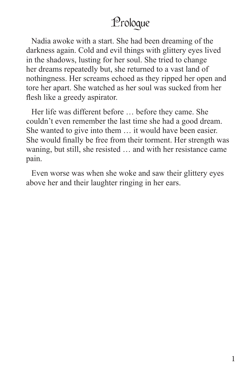## Prologue

Nadia awoke with a start. She had been dreaming of the darkness again. Cold and evil things with glittery eyes lived in the shadows, lusting for her soul. She tried to change her dreams repeatedly but, she returned to a vast land of nothingness. Her screams echoed as they ripped her open and tore her apart. She watched as her soul was sucked from her flesh like a greedy aspirator.

Her life was different before … before they came. She couldn't even remember the last time she had a good dream. She wanted to give into them … it would have been easier. She would finally be free from their torment. Her strength was waning, but still, she resisted … and with her resistance came pain.

Even worse was when she woke and saw their glittery eyes above her and their laughter ringing in her ears.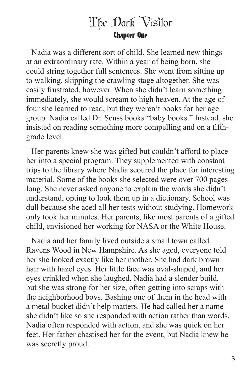## The Dark Visitor Chapter One

Nadia was a different sort of child. She learned new things at an extraordinary rate. Within a year of being born, she could string together full sentences. She went from sitting up to walking, skipping the crawling stage altogether. She was easily frustrated, however. When she didn't learn something immediately, she would scream to high heaven. At the age of four she learned to read, but they weren't books for her age group. Nadia called Dr. Seuss books "baby books." Instead, she insisted on reading something more compelling and on a fifthgrade level.

Her parents knew she was gifted but couldn't afford to place her into a special program. They supplemented with constant trips to the library where Nadia scoured the place for interesting material. Some of the books she selected were over 700 pages long. She never asked anyone to explain the words she didn't understand, opting to look them up in a dictionary. School was dull because she aced all her tests without studying. Homework only took her minutes. Her parents, like most parents of a gifted child, envisioned her working for NASA or the White House.

Nadia and her family lived outside a small town called Ravens Wood in New Hampshire. As she aged, everyone told her she looked exactly like her mother. She had dark brown hair with hazel eyes. Her little face was oval-shaped, and her eyes crinkled when she laughed. Nadia had a slender build, but she was strong for her size, often getting into scraps with the neighborhood boys. Bashing one of them in the head with a metal bucket didn't help matters. He had called her a name she didn't like so she responded with action rather than words. Nadia often responded with action, and she was quick on her feet. Her father chastised her for the event, but Nadia knew he was secretly proud.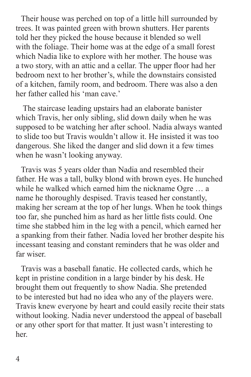Their house was perched on top of a little hill surrounded by trees. It was painted green with brown shutters. Her parents told her they picked the house because it blended so well with the foliage. Their home was at the edge of a small forest which Nadia like to explore with her mother. The house was a two story, with an attic and a cellar. The upper floor had her bedroom next to her brother's, while the downstairs consisted of a kitchen, family room, and bedroom. There was also a den her father called his 'man cave.'

 The staircase leading upstairs had an elaborate banister which Travis, her only sibling, slid down daily when he was supposed to be watching her after school. Nadia always wanted to slide too but Travis wouldn't allow it. He insisted it was too dangerous. She liked the danger and slid down it a few times when he wasn't looking anyway.

Travis was 5 years older than Nadia and resembled their father. He was a tall, bulky blond with brown eyes. He hunched while he walked which earned him the nickname Ogre … a name he thoroughly despised. Travis teased her constantly, making her scream at the top of her lungs. When he took things too far, she punched him as hard as her little fists could. One time she stabbed him in the leg with a pencil, which earned her a spanking from their father. Nadia loved her brother despite his incessant teasing and constant reminders that he was older and far wiser.

Travis was a baseball fanatic. He collected cards, which he kept in pristine condition in a large binder by his desk. He brought them out frequently to show Nadia. She pretended to be interested but had no idea who any of the players were. Travis knew everyone by heart and could easily recite their stats without looking. Nadia never understood the appeal of baseball or any other sport for that matter. It just wasn't interesting to her.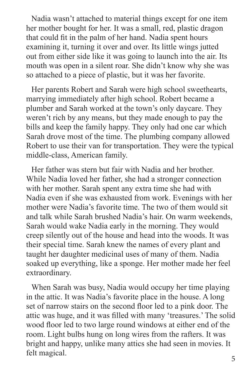Nadia wasn't attached to material things except for one item her mother bought for her. It was a small, red, plastic dragon that could fit in the palm of her hand. Nadia spent hours examining it, turning it over and over. Its little wings jutted out from either side like it was going to launch into the air. Its mouth was open in a silent roar. She didn't know why she was so attached to a piece of plastic, but it was her favorite.

Her parents Robert and Sarah were high school sweethearts, marrying immediately after high school. Robert became a plumber and Sarah worked at the town's only daycare. They weren't rich by any means, but they made enough to pay the bills and keep the family happy. They only had one car which Sarah drove most of the time. The plumbing company allowed Robert to use their van for transportation. They were the typical middle-class, American family.

Her father was stern but fair with Nadia and her brother. While Nadia loved her father, she had a stronger connection with her mother. Sarah spent any extra time she had with Nadia even if she was exhausted from work. Evenings with her mother were Nadia's favorite time. The two of them would sit and talk while Sarah brushed Nadia's hair. On warm weekends, Sarah would wake Nadia early in the morning. They would creep silently out of the house and head into the woods. It was their special time. Sarah knew the names of every plant and taught her daughter medicinal uses of many of them. Nadia soaked up everything, like a sponge. Her mother made her feel extraordinary.

When Sarah was busy, Nadia would occupy her time playing in the attic. It was Nadia's favorite place in the house. A long set of narrow stairs on the second floor led to a pink door. The attic was huge, and it was filled with many 'treasures.' The solid wood floor led to two large round windows at either end of the room. Light bulbs hung on long wires from the rafters. It was bright and happy, unlike many attics she had seen in movies. It felt magical.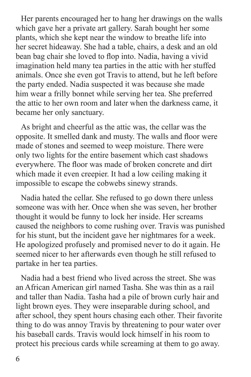Her parents encouraged her to hang her drawings on the walls which gave her a private art gallery. Sarah bought her some plants, which she kept near the window to breathe life into her secret hideaway. She had a table, chairs, a desk and an old bean bag chair she loved to flop into. Nadia, having a vivid imagination held many tea parties in the attic with her stuffed animals. Once she even got Travis to attend, but he left before the party ended. Nadia suspected it was because she made him wear a frilly bonnet while serving her tea. She preferred the attic to her own room and later when the darkness came, it became her only sanctuary.

As bright and cheerful as the attic was, the cellar was the opposite. It smelled dank and musty. The walls and floor were made of stones and seemed to weep moisture. There were only two lights for the entire basement which cast shadows everywhere. The floor was made of broken concrete and dirt which made it even creepier. It had a low ceiling making it impossible to escape the cobwebs sinewy strands.

Nadia hated the cellar. She refused to go down there unless someone was with her. Once when she was seven, her brother thought it would be funny to lock her inside. Her screams caused the neighbors to come rushing over. Travis was punished for his stunt, but the incident gave her nightmares for a week. He apologized profusely and promised never to do it again. He seemed nicer to her afterwards even though he still refused to partake in her tea parties.

Nadia had a best friend who lived across the street. She was an African American girl named Tasha. She was thin as a rail and taller than Nadia. Tasha had a pile of brown curly hair and light brown eyes. They were inseparable during school, and after school, they spent hours chasing each other. Their favorite thing to do was annoy Travis by threatening to pour water over his baseball cards. Travis would lock himself in his room to protect his precious cards while screaming at them to go away.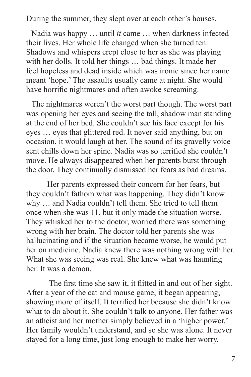During the summer, they slept over at each other's houses.

Nadia was happy … until *it* came … when darkness infected their lives. Her whole life changed when she turned ten. Shadows and whispers crept close to her as she was playing with her dolls. It told her things … bad things. It made her feel hopeless and dead inside which was ironic since her name meant 'hope.' The assaults usually came at night. She would have horrific nightmares and often awoke screaming.

The nightmares weren't the worst part though. The worst part was opening her eyes and seeing the tall, shadow man standing at the end of her bed. She couldn't see his face except for his eyes … eyes that glittered red. It never said anything, but on occasion, it would laugh at her. The sound of its gravelly voice sent chills down her spine. Nadia was so terrified she couldn't move. He always disappeared when her parents burst through the door. They continually dismissed her fears as bad dreams.

Her parents expressed their concern for her fears, but they couldn't fathom what was happening. They didn't know why … and Nadia couldn't tell them. She tried to tell them once when she was 11, but it only made the situation worse. They whisked her to the doctor, worried there was something wrong with her brain. The doctor told her parents she was hallucinating and if the situation became worse, he would put her on medicine. Nadia knew there was nothing wrong with her. What she was seeing was real. She knew what was haunting her. It was a demon.

 The first time she saw it, it flitted in and out of her sight. After a year of the cat and mouse game, it began appearing, showing more of itself. It terrified her because she didn't know what to do about it. She couldn't talk to anyone. Her father was an atheist and her mother simply believed in a 'higher power.' Her family wouldn't understand, and so she was alone. It never stayed for a long time, just long enough to make her worry.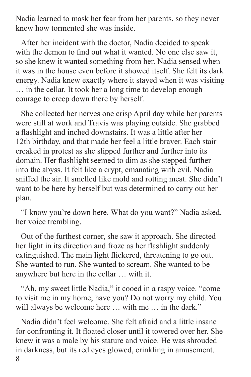Nadia learned to mask her fear from her parents, so they never knew how tormented she was inside.

After her incident with the doctor, Nadia decided to speak with the demon to find out what it wanted. No one else saw it, so she knew it wanted something from her. Nadia sensed when it was in the house even before it showed itself. She felt its dark energy. Nadia knew exactly where it stayed when it was visiting … in the cellar. It took her a long time to develop enough courage to creep down there by herself.

She collected her nerves one crisp April day while her parents were still at work and Travis was playing outside. She grabbed a flashlight and inched downstairs. It was a little after her 12th birthday, and that made her feel a little braver. Each stair creaked in protest as she slipped further and further into its domain. Her flashlight seemed to dim as she stepped further into the abyss. It felt like a crypt, emanating with evil. Nadia sniffed the air. It smelled like mold and rotting meat. She didn't want to be here by herself but was determined to carry out her plan.

"I know you're down here. What do you want?" Nadia asked, her voice trembling.

Out of the furthest corner, she saw it approach. She directed her light in its direction and froze as her flashlight suddenly extinguished. The main light flickered, threatening to go out. She wanted to run. She wanted to scream. She wanted to be anywhere but here in the cellar … with it.

"Ah, my sweet little Nadia," it cooed in a raspy voice. "come to visit me in my home, have you? Do not worry my child. You will always be welcome here ... with me ... in the dark."

8 Nadia didn't feel welcome. She felt afraid and a little insane for confronting it. It floated closer until it towered over her. She knew it was a male by his stature and voice. He was shrouded in darkness, but its red eyes glowed, crinkling in amusement.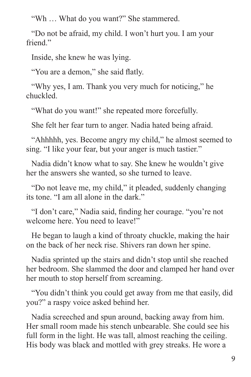"Wh … What do you want?" She stammered.

"Do not be afraid, my child. I won't hurt you. I am your friend<sup>"</sup>

Inside, she knew he was lying.

"You are a demon," she said flatly.

"Why yes, I am. Thank you very much for noticing," he chuckled.

"What do you want!" she repeated more forcefully.

She felt her fear turn to anger. Nadia hated being afraid.

"Ahhhhh, yes. Become angry my child," he almost seemed to sing. "I like your fear, but your anger is much tastier."

Nadia didn't know what to say. She knew he wouldn't give her the answers she wanted, so she turned to leave.

"Do not leave me, my child," it pleaded, suddenly changing its tone. "I am all alone in the dark."

"I don't care," Nadia said, finding her courage. "you're not welcome here. You need to leave!"

He began to laugh a kind of throaty chuckle, making the hair on the back of her neck rise. Shivers ran down her spine.

Nadia sprinted up the stairs and didn't stop until she reached her bedroom. She slammed the door and clamped her hand over her mouth to stop herself from screaming.

"You didn't think you could get away from me that easily, did you?" a raspy voice asked behind her.

Nadia screeched and spun around, backing away from him. Her small room made his stench unbearable. She could see his full form in the light. He was tall, almost reaching the ceiling. His body was black and mottled with grey streaks. He wore a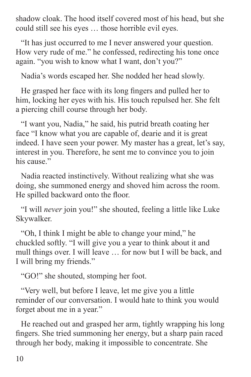shadow cloak. The hood itself covered most of his head, but she could still see his eyes … those horrible evil eyes.

"It has just occurred to me I never answered your question. How very rude of me." he confessed, redirecting his tone once again. "you wish to know what I want, don't you?"

Nadia's words escaped her. She nodded her head slowly.

He grasped her face with its long fingers and pulled her to him, locking her eyes with his. His touch repulsed her. She felt a piercing chill course through her body.

"I want you, Nadia," he said, his putrid breath coating her face "I know what you are capable of, dearie and it is great indeed. I have seen your power. My master has a great, let's say, interest in you. Therefore, he sent me to convince you to join his cause."

Nadia reacted instinctively. Without realizing what she was doing, she summoned energy and shoved him across the room. He spilled backward onto the floor.

"I will *never* join you!" she shouted, feeling a little like Luke Skywalker.

"Oh, I think I might be able to change your mind," he chuckled softly. "I will give you a year to think about it and mull things over. I will leave … for now but I will be back, and I will bring my friends."

"GO!" she shouted, stomping her foot.

"Very well, but before I leave, let me give you a little reminder of our conversation. I would hate to think you would forget about me in a year."

He reached out and grasped her arm, tightly wrapping his long fingers. She tried summoning her energy, but a sharp pain raced through her body, making it impossible to concentrate. She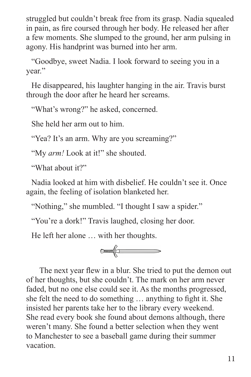struggled but couldn't break free from its grasp. Nadia squealed in pain, as fire coursed through her body. He released her after a few moments. She slumped to the ground, her arm pulsing in agony. His handprint was burned into her arm.

"Goodbye, sweet Nadia. I look forward to seeing you in a year."

He disappeared, his laughter hanging in the air. Travis burst through the door after he heard her screams.

"What's wrong?" he asked, concerned.

She held her arm out to him.

"Yea? It's an arm. Why are you screaming?"

"My *arm!* Look at it!" she shouted.

"What about it?"

Nadia looked at him with disbelief. He couldn't see it. Once again, the feeling of isolation blanketed her.

"Nothing," she mumbled. "I thought I saw a spider."

"You're a dork!" Travis laughed, closing her door.

He left her alone … with her thoughts.



 The next year flew in a blur. She tried to put the demon out of her thoughts, but she couldn't. The mark on her arm never faded, but no one else could see it. As the months progressed, she felt the need to do something … anything to fight it. She insisted her parents take her to the library every weekend. She read every book she found about demons although, there weren't many. She found a better selection when they went to Manchester to see a baseball game during their summer vacation.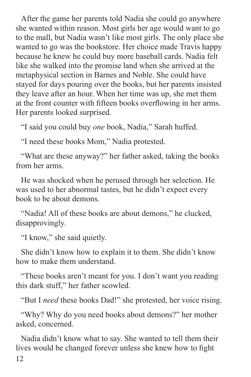After the game her parents told Nadia she could go anywhere she wanted within reason. Most girls her age would want to go to the mall, but Nadia wasn't like most girls. The only place she wanted to go was the bookstore. Her choice made Travis happy because he knew he could buy more baseball cards. Nadia felt like she walked into the promise land when she arrived at the metaphysical section in Barnes and Noble. She could have stayed for days pouring over the books, but her parents insisted they leave after an hour. When her time was up, she met them at the front counter with fifteen books overflowing in her arms. Her parents looked surprised.

"I said you could buy *one* book, Nadia," Sarah huffed.

"I need these books Mom," Nadia protested.

"What are these anyway?" her father asked, taking the books from her arms.

He was shocked when he perused through her selection. He was used to her abnormal tastes, but he didn't expect every book to be about demons.

"Nadia! All of these books are about demons," he clucked, disapprovingly.

"I know," she said quietly.

She didn't know how to explain it to them. She didn't know how to make them understand.

"These books aren't meant for you. I don't want you reading this dark stuff," her father scowled.

"But I *need* these books Dad!" she protested, her voice rising.

"Why? Why do you need books about demons?" her mother asked, concerned.

12 Nadia didn't know what to say. She wanted to tell them their lives would be changed forever unless she knew how to fight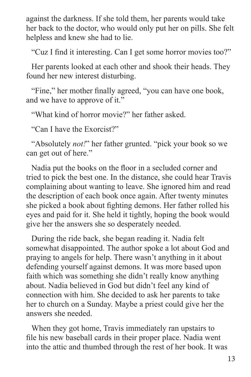against the darkness. If she told them, her parents would take her back to the doctor, who would only put her on pills. She felt helpless and knew she had to lie.

"Cuz I find it interesting. Can I get some horror movies too?"

Her parents looked at each other and shook their heads. They found her new interest disturbing.

"Fine," her mother finally agreed, "you can have one book, and we have to approve of it."

"What kind of horror movie?" her father asked.

"Can I have the Exorcist?"

"Absolutely *not!*" her father grunted. "pick your book so we can get out of here."

Nadia put the books on the floor in a secluded corner and tried to pick the best one. In the distance, she could hear Travis complaining about wanting to leave. She ignored him and read the description of each book once again. After twenty minutes she picked a book about fighting demons. Her father rolled his eyes and paid for it. She held it tightly, hoping the book would give her the answers she so desperately needed.

During the ride back, she began reading it. Nadia felt somewhat disappointed. The author spoke a lot about God and praying to angels for help. There wasn't anything in it about defending yourself against demons. It was more based upon faith which was something she didn't really know anything about. Nadia believed in God but didn't feel any kind of connection with him. She decided to ask her parents to take her to church on a Sunday. Maybe a priest could give her the answers she needed.

When they got home, Travis immediately ran upstairs to file his new baseball cards in their proper place. Nadia went into the attic and thumbed through the rest of her book. It was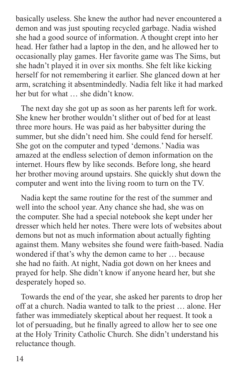basically useless. She knew the author had never encountered a demon and was just spouting recycled garbage. Nadia wished she had a good source of information. A thought crept into her head. Her father had a laptop in the den, and he allowed her to occasionally play games. Her favorite game was The Sims, but she hadn't played it in over six months. She felt like kicking herself for not remembering it earlier. She glanced down at her arm, scratching it absentmindedly. Nadia felt like it had marked her but for what … she didn't know.

The next day she got up as soon as her parents left for work. She knew her brother wouldn't slither out of bed for at least three more hours. He was paid as her babysitter during the summer, but she didn't need him. She could fend for herself. She got on the computer and typed 'demons.' Nadia was amazed at the endless selection of demon information on the internet. Hours flew by like seconds. Before long, she heard her brother moving around upstairs. She quickly shut down the computer and went into the living room to turn on the TV.

Nadia kept the same routine for the rest of the summer and well into the school year. Any chance she had, she was on the computer. She had a special notebook she kept under her dresser which held her notes. There were lots of websites about demons but not as much information about actually fighting against them. Many websites she found were faith-based. Nadia wondered if that's why the demon came to her … because she had no faith. At night, Nadia got down on her knees and prayed for help. She didn't know if anyone heard her, but she desperately hoped so.

Towards the end of the year, she asked her parents to drop her off at a church. Nadia wanted to talk to the priest … alone. Her father was immediately skeptical about her request. It took a lot of persuading, but he finally agreed to allow her to see one at the Holy Trinity Catholic Church. She didn't understand his reluctance though.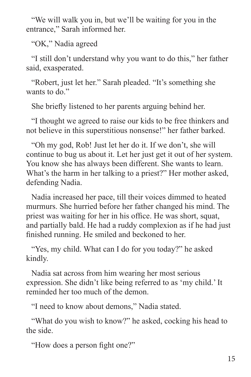"We will walk you in, but we'll be waiting for you in the entrance," Sarah informed her.

"OK," Nadia agreed

"I still don't understand why you want to do this," her father said, exasperated.

"Robert, just let her." Sarah pleaded. "It's something she wants to do."

She briefly listened to her parents arguing behind her.

"I thought we agreed to raise our kids to be free thinkers and not believe in this superstitious nonsense!" her father barked.

"Oh my god, Rob! Just let her do it. If we don't, she will continue to bug us about it. Let her just get it out of her system. You know she has always been different. She wants to learn. What's the harm in her talking to a priest?" Her mother asked, defending Nadia.

Nadia increased her pace, till their voices dimmed to heated murmurs. She hurried before her father changed his mind. The priest was waiting for her in his office. He was short, squat, and partially bald. He had a ruddy complexion as if he had just finished running. He smiled and beckoned to her.

"Yes, my child. What can I do for you today?" he asked kindly.

Nadia sat across from him wearing her most serious expression. She didn't like being referred to as 'my child.' It reminded her too much of the demon.

"I need to know about demons," Nadia stated.

"What do you wish to know?" he asked, cocking his head to the side.

"How does a person fight one?"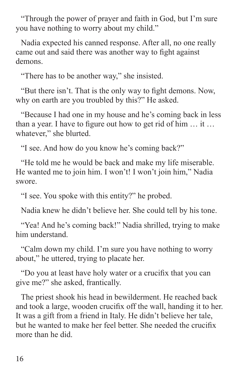"Through the power of prayer and faith in God, but I'm sure you have nothing to worry about my child."

Nadia expected his canned response. After all, no one really came out and said there was another way to fight against demons.

"There has to be another way," she insisted.

"But there isn't. That is the only way to fight demons. Now, why on earth are you troubled by this?" He asked.

"Because I had one in my house and he's coming back in less than a year. I have to figure out how to get rid of him … it … whatever," she blurted.

"I see. And how do you know he's coming back?"

"He told me he would be back and make my life miserable. He wanted me to join him. I won't! I won't join him," Nadia swore.

"I see. You spoke with this entity?" he probed.

Nadia knew he didn't believe her. She could tell by his tone.

"Yea! And he's coming back!" Nadia shrilled, trying to make him understand.

"Calm down my child. I'm sure you have nothing to worry about," he uttered, trying to placate her.

"Do you at least have holy water or a crucifix that you can give me?" she asked, frantically.

The priest shook his head in bewilderment. He reached back and took a large, wooden crucifix off the wall, handing it to her. It was a gift from a friend in Italy. He didn't believe her tale, but he wanted to make her feel better. She needed the crucifix more than he did.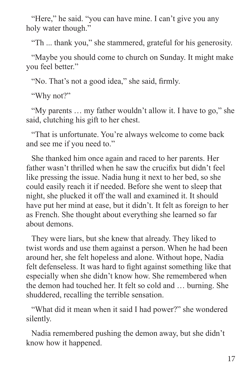"Here," he said. "you can have mine. I can't give you any holy water though."

"Th ... thank you," she stammered, grateful for his generosity.

"Maybe you should come to church on Sunday. It might make you feel better."

"No. That's not a good idea," she said, firmly.

"Why not?"

"My parents … my father wouldn't allow it. I have to go," she said, clutching his gift to her chest.

"That is unfortunate. You're always welcome to come back and see me if you need to."

She thanked him once again and raced to her parents. Her father wasn't thrilled when he saw the crucifix but didn't feel like pressing the issue. Nadia hung it next to her bed, so she could easily reach it if needed. Before she went to sleep that night, she plucked it off the wall and examined it. It should have put her mind at ease, but it didn't. It felt as foreign to her as French. She thought about everything she learned so far about demons.

They were liars, but she knew that already. They liked to twist words and use them against a person. When he had been around her, she felt hopeless and alone. Without hope, Nadia felt defenseless. It was hard to fight against something like that especially when she didn't know how. She remembered when the demon had touched her. It felt so cold and … burning. She shuddered, recalling the terrible sensation.

"What did it mean when it said I had power?" she wondered silently.

Nadia remembered pushing the demon away, but she didn't know how it happened.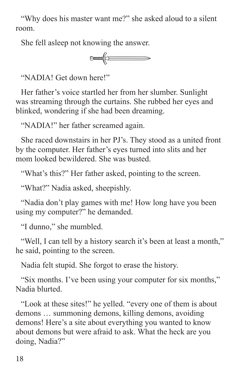"Why does his master want me?" she asked aloud to a silent room.

She fell asleep not knowing the answer.



"NADIA! Get down here!"

Her father's voice startled her from her slumber. Sunlight was streaming through the curtains. She rubbed her eyes and blinked, wondering if she had been dreaming.

"NADIA!" her father screamed again.

She raced downstairs in her PJ's. They stood as a united front by the computer. Her father's eyes turned into slits and her mom looked bewildered. She was busted.

"What's this?" Her father asked, pointing to the screen.

"What?" Nadia asked, sheepishly.

"Nadia don't play games with me! How long have you been using my computer?" he demanded.

"I dunno," she mumbled.

"Well, I can tell by a history search it's been at least a month," he said, pointing to the screen.

Nadia felt stupid. She forgot to erase the history.

"Six months. I've been using your computer for six months," Nadia blurted.

"Look at these sites!" he yelled. "every one of them is about demons … summoning demons, killing demons, avoiding demons! Here's a site about everything you wanted to know about demons but were afraid to ask. What the heck are you doing, Nadia?"